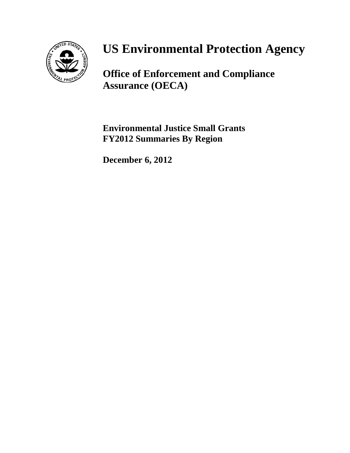

# **US Environmental Protection Agency**

**Office of Enforcement and Compliance Assurance (OECA)**

**Environmental Justice Small Grants FY2012 Summaries By Region**

**December 6, 2012**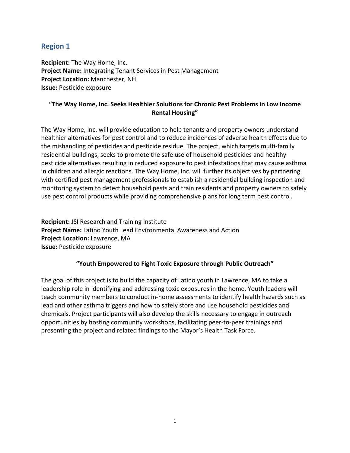# **Region 1**

**Recipient:** The Way Home, Inc. **Project Name:** Integrating Tenant Services in Pest Management **Project Location:** Manchester, NH **Issue:** Pesticide exposure

## **"The Way Home, Inc. Seeks Healthier Solutions for Chronic Pest Problems in Low Income Rental Housing"**

The Way Home, Inc. will provide education to help tenants and property owners understand healthier alternatives for pest control and to reduce incidences of adverse health effects due to the mishandling of pesticides and pesticide residue. The project, which targets multi-family residential buildings, seeks to promote the safe use of household pesticides and healthy pesticide alternatives resulting in reduced exposure to pest infestations that may cause asthma in children and allergic reactions. The Way Home, Inc. will further its objectives by partnering with certified pest management professionals to establish a residential building inspection and monitoring system to detect household pests and train residents and property owners to safely use pest control products while providing comprehensive plans for long term pest control.

**Recipient:** JSI Research and Training Institute **Project Name:** Latino Youth Lead Environmental Awareness and Action **Project Location:** Lawrence, MA **Issue:** Pesticide exposure

#### **"Youth Empowered to Fight Toxic Exposure through Public Outreach"**

The goal of this project is to build the capacity of Latino youth in Lawrence, MA to take a leadership role in identifying and addressing toxic exposures in the home. Youth leaders will teach community members to conduct in-home assessments to identify health hazards such as lead and other asthma triggers and how to safely store and use household pesticides and chemicals. Project participants will also develop the skills necessary to engage in outreach opportunities by hosting community workshops, facilitating peer-to-peer trainings and presenting the project and related findings to the Mayor's Health Task Force.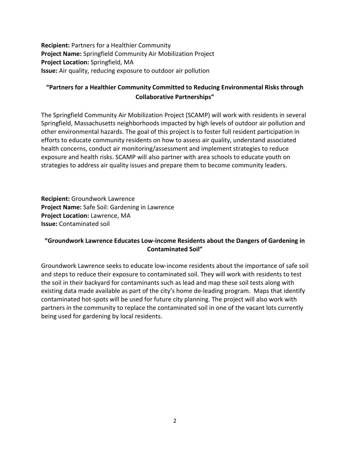**Recipient:** Partners for a Healthier Community **Project Name:** Springfield Community Air Mobilization Project **Project Location:** Springfield, MA **Issue:** Air quality, reducing exposure to outdoor air pollution

# **"Partners for a Healthier Community Committed to Reducing Environmental Risks through Collaborative Partnerships"**

The Springfield Community Air Mobilization Project (SCAMP) will work with residents in several Springfield, Massachusetts neighborhoods impacted by high levels of outdoor air pollution and other environmental hazards. The goal of this project is to foster full resident participation in efforts to educate community residents on how to assess air quality, understand associated health concerns, conduct air monitoring/assessment and implement strategies to reduce exposure and health risks. SCAMP will also partner with area schools to educate youth on strategies to address air quality issues and prepare them to become community leaders.

**Recipient:** Groundwork Lawrence **Project Name:** Safe Soil: Gardening in Lawrence **Project Location:** Lawrence, MA **Issue:** Contaminated soil

# **"Groundwork Lawrence Educates Low-income Residents about the Dangers of Gardening in Contaminated Soil"**

Groundwork Lawrence seeks to educate low-income residents about the importance of safe soil and steps to reduce their exposure to contaminated soil. They will work with residents to test the soil in their backyard for contaminants such as lead and map these soil tests along with existing data made available as part of the city's home de-leading program. Maps that identify contaminated hot-spots will be used for future city planning. The project will also work with partners in the community to replace the contaminated soil in one of the vacant lots currently being used for gardening by local residents.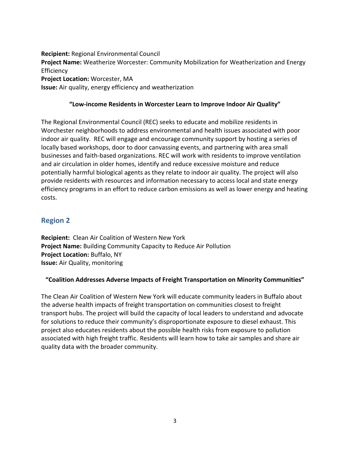**Recipient:** Regional Environmental Council **Project Name:** Weatherize Worcester: Community Mobilization for Weatherization and Energy **Efficiency Project Location:** Worcester, MA **Issue:** Air quality, energy efficiency and weatherization

#### **"Low-income Residents in Worcester Learn to Improve Indoor Air Quality"**

The Regional Environmental Council (REC) seeks to educate and mobilize residents in Worchester neighborhoods to address environmental and health issues associated with poor indoor air quality. REC will engage and encourage community support by hosting a series of locally based workshops, door to door canvassing events, and partnering with area small businesses and faith-based organizations. REC will work with residents to improve ventilation and air circulation in older homes, identify and reduce excessive moisture and reduce potentially harmful biological agents as they relate to indoor air quality. The project will also provide residents with resources and information necessary to access local and state energy efficiency programs in an effort to reduce carbon emissions as well as lower energy and heating costs.

# **Region 2**

**Recipient:** Clean Air Coalition of Western New York **Project Name:** Building Community Capacity to Reduce Air Pollution **Project Location:** Buffalo, NY **Issue:** Air Quality, monitoring

#### **"Coalition Addresses Adverse Impacts of Freight Transportation on Minority Communities"**

The Clean Air Coalition of Western New York will educate community leaders in Buffalo about the adverse health impacts of freight transportation on communities closest to freight transport hubs. The project will build the capacity of local leaders to understand and advocate for solutions to reduce their community's disproportionate exposure to diesel exhaust. This project also educates residents about the possible health risks from exposure to pollution associated with high freight traffic. Residents will learn how to take air samples and share air quality data with the broader community.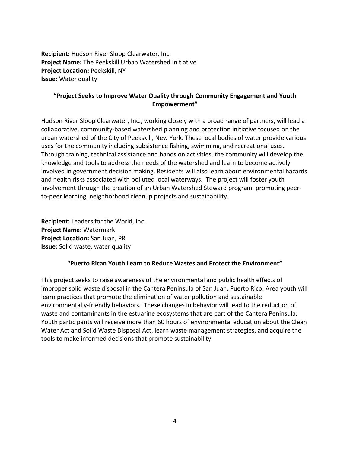**Recipient:** Hudson River Sloop Clearwater, Inc. **Project Name:** The Peekskill Urban Watershed Initiative **Project Location:** Peekskill, NY **Issue:** Water quality

## **"Project Seeks to Improve Water Quality through Community Engagement and Youth Empowerment"**

Hudson River Sloop Clearwater, Inc., working closely with a broad range of partners, will lead a collaborative, community-based watershed planning and protection initiative focused on the urban watershed of the City of Peekskill, New York. These local bodies of water provide various uses for the community including subsistence fishing, swimming, and recreational uses. Through training, technical assistance and hands on activities, the community will develop the knowledge and tools to address the needs of the watershed and learn to become actively involved in government decision making. Residents will also learn about environmental hazards and health risks associated with polluted local waterways. The project will foster youth involvement through the creation of an Urban Watershed Steward program, promoting peerto-peer learning, neighborhood cleanup projects and sustainability.

**Recipient:** Leaders for the World, Inc. **Project Name:** Watermark **Project Location:** San Juan, PR **Issue:** Solid waste, water quality

#### **"Puerto Rican Youth Learn to Reduce Wastes and Protect the Environment"**

This project seeks to raise awareness of the environmental and public health effects of improper solid waste disposal in the Cantera Peninsula of San Juan, Puerto Rico. Area youth will learn practices that promote the elimination of water pollution and sustainable environmentally-friendly behaviors. These changes in behavior will lead to the reduction of waste and contaminants in the estuarine ecosystems that are part of the Cantera Peninsula. Youth participants will receive more than 60 hours of environmental education about the Clean Water Act and Solid Waste Disposal Act, learn waste management strategies, and acquire the tools to make informed decisions that promote sustainability.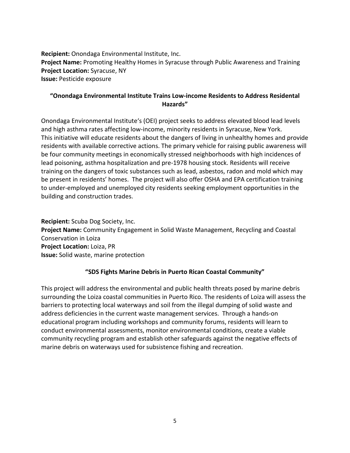**Recipient:** Onondaga Environmental Institute, Inc. **Project Name:** Promoting Healthy Homes in Syracuse through Public Awareness and Training **Project Location:** Syracuse, NY **Issue:** Pesticide exposure

## **"Onondaga Environmental Institute Trains Low-income Residents to Address Residental Hazards"**

Onondaga Environmental Institute's (OEI) project seeks to address elevated blood lead levels and high asthma rates affecting low-income, minority residents in Syracuse, New York. This initiative will educate residents about the dangers of living in unhealthy homes and provide residents with available corrective actions. The primary vehicle for raising public awareness will be four community meetings in economically stressed neighborhoods with high incidences of lead poisoning, asthma hospitalization and pre-1978 housing stock. Residents will receive training on the dangers of toxic substances such as lead, asbestos, radon and mold which may be present in residents' homes. The project will also offer OSHA and EPA certification training to under-employed and unemployed city residents seeking employment opportunities in the building and construction trades.

**Recipient:** Scuba Dog Society, Inc. **Project Name:** Community Engagement in Solid Waste Management, Recycling and Coastal Conservation in Loiza **Project Location:** Loiza, PR **Issue:** Solid waste, marine protection

## **"SDS Fights Marine Debris in Puerto Rican Coastal Community"**

This project will address the environmental and public health threats posed by marine debris surrounding the Loiza coastal communities in Puerto Rico. The residents of Loiza will assess the barriers to protecting local waterways and soil from the illegal dumping of solid waste and address deficiencies in the current waste management services. Through a hands-on educational program including workshops and community forums, residents will learn to conduct environmental assessments, monitor environmental conditions, create a viable community recycling program and establish other safeguards against the negative effects of marine debris on waterways used for subsistence fishing and recreation.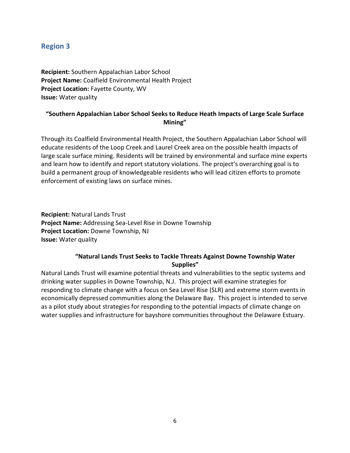# **Region 3**

**Recipient:** Southern Appalachian Labor School **Project Name:** Coalfield Environmental Health Project **Project Location:** Fayette County, WV **Issue:** Water quality

## **"Southern Appalachian Labor School Seeks to Reduce Heath Impacts of Large Scale Surface Mining"**

Through its Coalfield Environmental Health Project, the Southern Appalachian Labor School will educate residents of the Loop Creek and Laurel Creek area on the possible health impacts of large scale surface mining. Residents will be trained by environmental and surface mine experts and learn how to identify and report statutory violations. The project's overarching goal is to build a permanent group of knowledgeable residents who will lead citizen efforts to promote enforcement of existing laws on surface mines.

**Recipient:** Natural Lands Trust **Project Name:** Addressing Sea-Level Rise in Downe Township **Project Location:** Downe Township, NJ **Issue:** Water quality

# **"Natural Lands Trust Seeks to Tackle Threats Against Downe Township Water Supplies"**

Natural Lands Trust will examine potential threats and vulnerabilities to the septic systems and drinking water supplies in Downe Township, N.J. This project will examine strategies for responding to climate change with a focus on Sea Level Rise (SLR) and extreme storm events in economically depressed communities along the Delaware Bay. This project is intended to serve as a pilot study about strategies for responding to the potential impacts of climate change on water supplies and infrastructure for bayshore communities throughout the Delaware Estuary.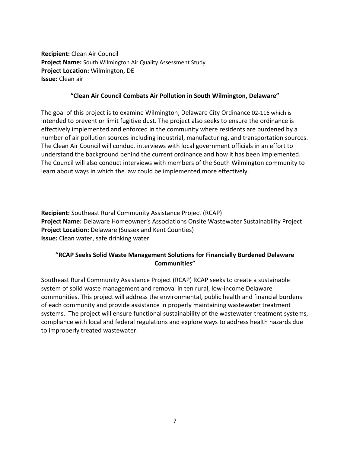**Recipient:** Clean Air Council **Project Name:** South Wilmington Air Quality Assessment Study **Project Location:** Wilmington, DE **Issue:** Clean air

#### **"Clean Air Council Combats Air Pollution in South Wilmington, Delaware"**

The goal of this project is to examine Wilmington, Delaware City Ordinance 02-116 which is intended to prevent or limit fugitive dust. The project also seeks to ensure the ordinance is effectively implemented and enforced in the community where residents are burdened by a number of air pollution sources including industrial, manufacturing, and transportation sources. The Clean Air Council will conduct interviews with local government officials in an effort to understand the background behind the current ordinance and how it has been implemented. The Council will also conduct interviews with members of the South Wilmington community to learn about ways in which the law could be implemented more effectively.

**Recipient:** Southeast Rural Community Assistance Project (RCAP) **Project Name:** Delaware Homeowner's Associations Onsite Wastewater Sustainability Project **Project Location:** Delaware (Sussex and Kent Counties) **Issue:** Clean water, safe drinking water

## **"RCAP Seeks Solid Waste Management Solutions for Financially Burdened Delaware Communities"**

Southeast Rural Community Assistance Project (RCAP) RCAP seeks to create a sustainable system of solid waste management and removal in ten rural, low-income Delaware communities. This project will address the environmental, public health and financial burdens of each community and provide assistance in properly maintaining wastewater treatment systems. The project will ensure functional sustainability of the wastewater treatment systems, compliance with local and federal regulations and explore ways to address health hazards due to improperly treated wastewater.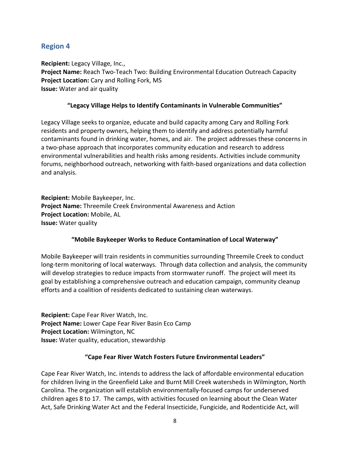# **Region 4**

**Recipient:** Legacy Village, Inc., **Project Name:** Reach Two-Teach Two: Building Environmental Education Outreach Capacity **Project Location:** Cary and Rolling Fork, MS **Issue:** Water and air quality

#### **"Legacy Village Helps to Identify Contaminants in Vulnerable Communities"**

Legacy Village seeks to organize, educate and build capacity among Cary and Rolling Fork residents and property owners, helping them to identify and address potentially harmful contaminants found in drinking water, homes, and air. The project addresses these concerns in a two-phase approach that incorporates community education and research to address environmental vulnerabilities and health risks among residents. Activities include community forums, neighborhood outreach, networking with faith-based organizations and data collection and analysis.

**Recipient:** Mobile Baykeeper, Inc. **Project Name:** Threemile Creek Environmental Awareness and Action **Project Location:** Mobile, AL **Issue:** Water quality

#### **"Mobile Baykeeper Works to Reduce Contamination of Local Waterway"**

Mobile Baykeeper will train residents in communities surrounding Threemile Creek to conduct long-term monitoring of local waterways. Through data collection and analysis, the community will develop strategies to reduce impacts from stormwater runoff. The project will meet its goal by establishing a comprehensive outreach and education campaign, community cleanup efforts and a coalition of residents dedicated to sustaining clean waterways.

**Recipient:** Cape Fear River Watch, Inc. **Project Name:** Lower Cape Fear River Basin Eco Camp **Project Location:** Wilmington, NC **Issue:** Water quality, education, stewardship

#### **"Cape Fear River Watch Fosters Future Environmental Leaders"**

Cape Fear River Watch, Inc. intends to address the lack of affordable environmental education for children living in the Greenfield Lake and Burnt Mill Creek watersheds in Wilmington, North Carolina. The organization will establish environmentally-focused camps for underserved children ages 8 to 17. The camps, with activities focused on learning about the Clean Water Act, Safe Drinking Water Act and the Federal Insecticide, Fungicide, and Rodenticide Act, will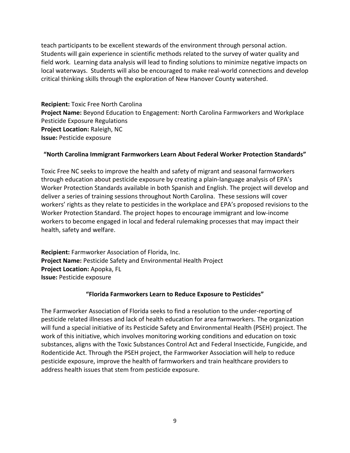teach participants to be excellent stewards of the environment through personal action. Students will gain experience in scientific methods related to the survey of water quality and field work. Learning data analysis will lead to finding solutions to minimize negative impacts on local waterways. Students will also be encouraged to make real-world connections and develop critical thinking skills through the exploration of New Hanover County watershed.

**Recipient:** Toxic Free North Carolina **Project Name:** Beyond Education to Engagement: North Carolina Farmworkers and Workplace Pesticide Exposure Regulations **Project Location:** Raleigh, NC **Issue:** Pesticide exposure

#### **"North Carolina Immigrant Farmworkers Learn About Federal Worker Protection Standards"**

Toxic Free NC seeks to improve the health and safety of migrant and seasonal farmworkers through education about pesticide exposure by creating a plain-language analysis of EPA's Worker Protection Standards available in both Spanish and English. The project will develop and deliver a series of training sessions throughout North Carolina. These sessions will cover workers' rights as they relate to pesticides in the workplace and EPA's proposed revisions to the Worker Protection Standard. The project hopes to encourage immigrant and low-income workers to become engaged in local and federal rulemaking processes that may impact their health, safety and welfare.

**Recipient:** Farmworker Association of Florida, Inc. **Project Name:** Pesticide Safety and Environmental Health Project **Project Location:** Apopka, FL **Issue:** Pesticide exposure

#### **"Florida Farmworkers Learn to Reduce Exposure to Pesticides"**

The Farmworker Association of Florida seeks to find a resolution to the under-reporting of pesticide related illnesses and lack of health education for area farmworkers. The organization will fund a special initiative of its Pesticide Safety and Environmental Health (PSEH) project. The work of this initiative, which involves monitoring working conditions and education on toxic substances, aligns with the Toxic Substances Control Act and Federal Insecticide, Fungicide, and Rodenticide Act. Through the PSEH project, the Farmworker Association will help to reduce pesticide exposure, improve the health of farmworkers and train healthcare providers to address health issues that stem from pesticide exposure.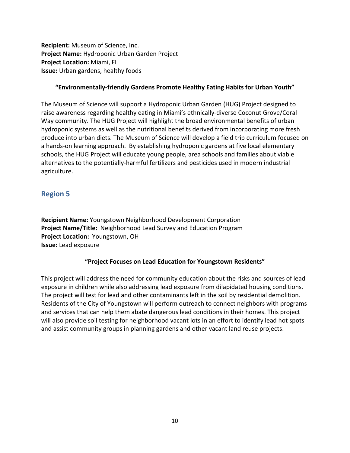**Recipient:** Museum of Science, Inc. **Project Name:** Hydroponic Urban Garden Project **Project Location:** Miami, FL **Issue:** Urban gardens, healthy foods

#### **"Environmentally-friendly Gardens Promote Healthy Eating Habits for Urban Youth"**

The Museum of Science will support a Hydroponic Urban Garden (HUG) Project designed to raise awareness regarding healthy eating in Miami's ethnically-diverse Coconut Grove/Coral Way community. The HUG Project will highlight the broad environmental benefits of urban hydroponic systems as well as the nutritional benefits derived from incorporating more fresh produce into urban diets. The Museum of Science will develop a field trip curriculum focused on a hands-on learning approach. By establishing hydroponic gardens at five local elementary schools, the HUG Project will educate young people, area schools and families about viable alternatives to the potentially-harmful fertilizers and pesticides used in modern industrial agriculture.

# **Region 5**

**Recipient Name:** Youngstown Neighborhood Development Corporation **Project Name/Title:** Neighborhood Lead Survey and Education Program **Project Location:** Youngstown, OH **Issue:** Lead exposure

## **"Project Focuses on Lead Education for Youngstown Residents"**

This project will address the need for community education about the risks and sources of lead exposure in children while also addressing lead exposure from dilapidated housing conditions. The project will test for lead and other contaminants left in the soil by residential demolition. Residents of the City of Youngstown will perform outreach to connect neighbors with programs and services that can help them abate dangerous lead conditions in their homes. This project will also provide soil testing for neighborhood vacant lots in an effort to identify lead hot spots and assist community groups in planning gardens and other vacant land reuse projects.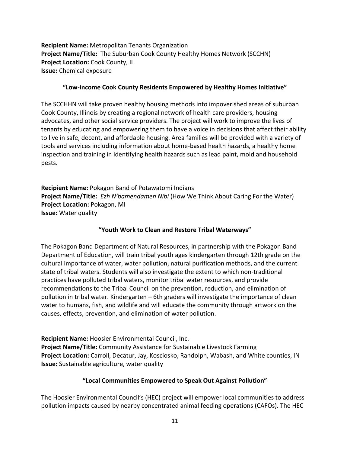**Recipient Name:** Metropolitan Tenants Organization **Project Name/Title:** The Suburban Cook County Healthy Homes Network (SCCHN) **Project Location:** Cook County, IL **Issue:** Chemical exposure

#### **"Low-income Cook County Residents Empowered by Healthy Homes Initiative"**

The SCCHHN will take proven healthy housing methods into impoverished areas of suburban Cook County, Illinois by creating a regional network of health care providers, housing advocates, and other social service providers. The project will work to improve the lives of tenants by educating and empowering them to have a voice in decisions that affect their ability to live in safe, decent, and affordable housing. Area families will be provided with a variety of tools and services including information about home-based health hazards, a healthy home inspection and training in identifying health hazards such as lead paint, mold and household pests.

**Recipient Name:** Pokagon Band of Potawatomi Indians **Project Name/Title:** *Ezh N'bamendamen Nibi* (How We Think About Caring For the Water) **Project Location:** Pokagon, MI **Issue:** Water quality

## **"Youth Work to Clean and Restore Tribal Waterways"**

The Pokagon Band Department of Natural Resources, in partnership with the Pokagon Band Department of Education, will train tribal youth ages kindergarten through 12th grade on the cultural importance of water, water pollution, natural purification methods, and the current state of tribal waters. Students will also investigate the extent to which non-traditional practices have polluted tribal waters, monitor tribal water resources, and provide recommendations to the Tribal Council on the prevention, reduction, and elimination of pollution in tribal water. Kindergarten – 6th graders will investigate the importance of clean water to humans, fish, and wildlife and will educate the community through artwork on the causes, effects, prevention, and elimination of water pollution.

**Recipient Name:** Hoosier Environmental Council, Inc. **Project Name/Title:** Community Assistance for Sustainable Livestock Farming **Project Location:** Carroll, Decatur, Jay, Kosciosko, Randolph, Wabash, and White counties, IN **Issue:** Sustainable agriculture, water quality

## **"Local Communities Empowered to Speak Out Against Pollution"**

The Hoosier Environmental Council's (HEC) project will empower local communities to address pollution impacts caused by nearby concentrated animal feeding operations (CAFOs). The HEC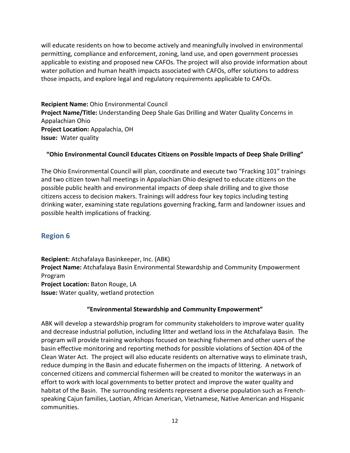will educate residents on how to become actively and meaningfully involved in environmental permitting, compliance and enforcement, zoning, land use, and open government processes applicable to existing and proposed new CAFOs. The project will also provide information about water pollution and human health impacts associated with CAFOs, offer solutions to address those impacts, and explore legal and regulatory requirements applicable to CAFOs.

**Recipient Name:** Ohio Environmental Council **Project Name/Title:** Understanding Deep Shale Gas Drilling and Water Quality Concerns in Appalachian Ohio **Project Location:** Appalachia, OH **Issue:** Water quality

## **"Ohio Environmental Council Educates Citizens on Possible Impacts of Deep Shale Drilling"**

The Ohio Environmental Council will plan, coordinate and execute two "Fracking 101" trainings and two citizen town hall meetings in Appalachian Ohio designed to educate citizens on the possible public health and environmental impacts of deep shale drilling and to give those citizens access to decision makers. Trainings will address four key topics including testing drinking water, examining state regulations governing fracking, farm and landowner issues and possible health implications of fracking.

# **Region 6**

**Recipient:** Atchafalaya Basinkeeper, Inc. (ABK) **Project Name:** Atchafalaya Basin Environmental Stewardship and Community Empowerment Program **Project Location:** Baton Rouge, LA **Issue:** Water quality, wetland protection

## **"Environmental Stewardship and Community Empowerment"**

ABK will develop a stewardship program for community stakeholders to improve water quality and decrease industrial pollution, including litter and wetland loss in the Atchafalaya Basin. The program will provide training workshops focused on teaching fishermen and other users of the basin effective monitoring and reporting methods for possible violations of Section 404 of the Clean Water Act. The project will also educate residents on alternative ways to eliminate trash, reduce dumping in the Basin and educate fishermen on the impacts of littering. A network of concerned citizens and commercial fishermen will be created to monitor the waterways in an effort to work with local governments to better protect and improve the water quality and habitat of the Basin. The surrounding residents represent a diverse population such as Frenchspeaking Cajun families, Laotian, African American, Vietnamese, Native American and Hispanic communities.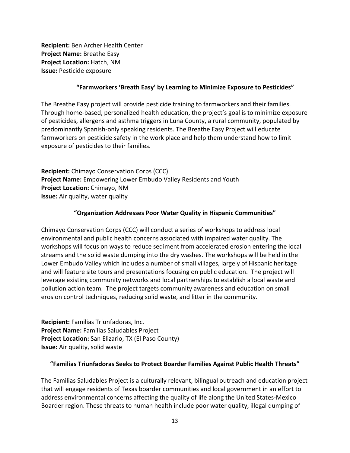**Recipient:** Ben Archer Health Center **Project Name:** Breathe Easy **Project Location:** Hatch, NM **Issue:** Pesticide exposure

#### **"Farmworkers 'Breath Easy' by Learning to Minimize Exposure to Pesticides"**

The Breathe Easy project will provide pesticide training to farmworkers and their families. Through home-based, personalized health education, the project's goal is to minimize exposure of pesticides, allergens and asthma triggers in Luna County, a rural community, populated by predominantly Spanish-only speaking residents. The Breathe Easy Project will educate farmworkers on pesticide safety in the work place and help them understand how to limit exposure of pesticides to their families.

**Recipient:** Chimayo Conservation Corps (CCC) **Project Name:** Empowering Lower Embudo Valley Residents and Youth **Project Location:** Chimayo, NM **Issue:** Air quality, water quality

#### **"Organization Addresses Poor Water Quality in Hispanic Communities"**

Chimayo Conservation Corps (CCC) will conduct a series of workshops to address local environmental and public health concerns associated with impaired water quality. The workshops will focus on ways to reduce sediment from accelerated erosion entering the local streams and the solid waste dumping into the dry washes. The workshops will be held in the Lower Embudo Valley which includes a number of small villages, largely of Hispanic heritage and will feature site tours and presentations focusing on public education. The project will leverage existing community networks and local partnerships to establish a local waste and pollution action team. The project targets community awareness and education on small erosion control techniques, reducing solid waste, and litter in the community.

**Recipient:** Familias Triunfadoras, Inc. **Project Name:** Familias Saludables Project **Project Location:** San Elizario, TX (El Paso County) **Issue:** Air quality, solid waste

#### **"Familias Triunfadoras Seeks to Protect Boarder Families Against Public Health Threats"**

The Familias Saludables Project is a culturally relevant, bilingual outreach and education project that will engage residents of Texas boarder communities and local government in an effort to address environmental concerns affecting the quality of life along the United States-Mexico Boarder region. These threats to human health include poor water quality, illegal dumping of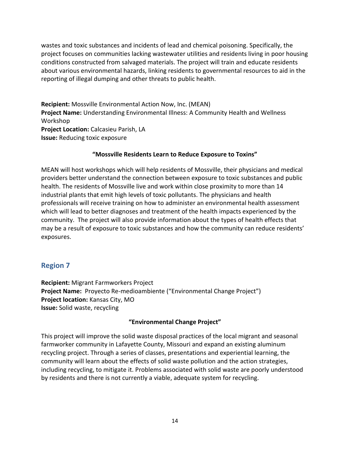wastes and toxic substances and incidents of lead and chemical poisoning. Specifically, the project focuses on communities lacking wastewater utilities and residents living in poor housing conditions constructed from salvaged materials. The project will train and educate residents about various environmental hazards, linking residents to governmental resources to aid in the reporting of illegal dumping and other threats to public health.

**Recipient:** Mossville Environmental Action Now, Inc. (MEAN) **Project Name:** Understanding Environmental Illness: A Community Health and Wellness Workshop **Project Location:** Calcasieu Parish, LA **Issue:** Reducing toxic exposure

## **"Mossville Residents Learn to Reduce Exposure to Toxins"**

MEAN will host workshops which will help residents of Mossville, their physicians and medical providers better understand the connection between exposure to toxic substances and public health. The residents of Mossville live and work within close proximity to more than 14 industrial plants that emit high levels of toxic pollutants. The physicians and health professionals will receive training on how to administer an environmental health assessment which will lead to better diagnoses and treatment of the health impacts experienced by the community. The project will also provide information about the types of health effects that may be a result of exposure to toxic substances and how the community can reduce residents' exposures.

# **Region 7**

**Recipient:** Migrant Farmworkers Project **Project Name:** Proyecto Re-medioambiente ("Environmental Change Project") **Project location:** Kansas City, MO **Issue:** Solid waste, recycling

## **"Environmental Change Project"**

This project will improve the solid waste disposal practices of the local migrant and seasonal farmworker community in Lafayette County, Missouri and expand an existing aluminum recycling project. Through a series of classes, presentations and experiential learning, the community will learn about the effects of solid waste pollution and the action strategies, including recycling, to mitigate it. Problems associated with solid waste are poorly understood by residents and there is not currently a viable, adequate system for recycling.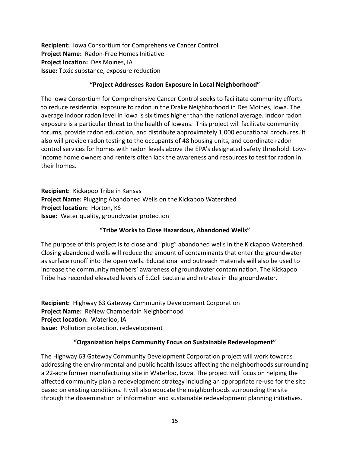**Recipient:** Iowa Consortium for Comprehensive Cancer Control **Project Name:** Radon-Free Homes Initiative **Project location:** Des Moines, IA **Issue:** Toxic substance, exposure reduction

#### **"Project Addresses Radon Exposure in Local Neighborhood"**

The Iowa Consortium for Comprehensive Cancer Control seeks to facilitate community efforts to reduce residential exposure to radon in the Drake Neighborhood in Des Moines, Iowa. The average indoor radon level in Iowa is six times higher than the national average. Indoor radon exposure is a particular threat to the health of Iowans. This project will facilitate community forums, provide radon education, and distribute approximately 1,000 educational brochures. It also will provide radon testing to the occupants of 48 housing units, and coordinate radon control services for homes with radon levels above the EPA's designated safety threshold. Lowincome home owners and renters often lack the awareness and resources to test for radon in their homes.

**Recipient:** Kickapoo Tribe in Kansas **Project Name:** Plugging Abandoned Wells on the Kickapoo Watershed **Project location:** Horton, KS **Issue:** Water quality, groundwater protection

## **"Tribe Works to Close Hazardous, Abandoned Wells"**

The purpose of this project is to close and "plug" abandoned wells in the Kickapoo Watershed. Closing abandoned wells will reduce the amount of contaminants that enter the groundwater as surface runoff into the open wells. Educational and outreach materials will also be used to increase the community members' awareness of groundwater contamination. The Kickapoo Tribe has recorded elevated levels of E.Coli bacteria and nitrates in the groundwater.

**Recipient:** Highway 63 Gateway Community Development Corporation **Project Name:** ReNew Chamberlain Neighborhood **Project location:** Waterloo, IA **Issue:** Pollution protection, redevelopment

## **"Organization helps Community Focus on Sustainable Redevelopment"**

The Highway 63 Gateway Community Development Corporation project will work towards addressing the environmental and public health issues affecting the neighborhoods surrounding a 22-acre former manufacturing site in Waterloo, Iowa. The project will focus on helping the affected community plan a redevelopment strategy including an appropriate re-use for the site based on existing conditions. It will also educate the neighborhoods surrounding the site through the dissemination of information and sustainable redevelopment planning initiatives.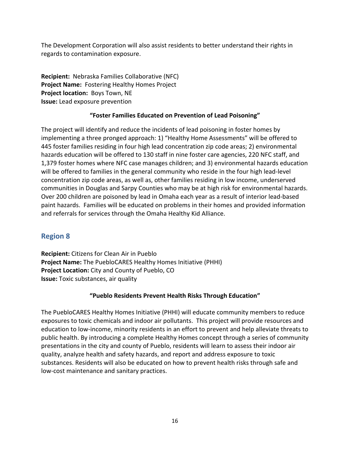The Development Corporation will also assist residents to better understand their rights in regards to contamination exposure.

**Recipient:** Nebraska Families Collaborative (NFC) **Project Name:** Fostering Healthy Homes Project **Project location:** Boys Town, NE **Issue:** Lead exposure prevention

# **"Foster Families Educated on Prevention of Lead Poisoning"**

The project will identify and reduce the incidents of lead poisoning in foster homes by implementing a three pronged approach: 1) "Healthy Home Assessments" will be offered to 445 foster families residing in four high lead concentration zip code areas; 2) environmental hazards education will be offered to 130 staff in nine foster care agencies, 220 NFC staff, and 1,379 foster homes where NFC case manages children; and 3) environmental hazards education will be offered to families in the general community who reside in the four high lead-level concentration zip code areas, as well as, other families residing in low income, underserved communities in Douglas and Sarpy Counties who may be at high risk for environmental hazards. Over 200 children are poisoned by lead in Omaha each year as a result of interior lead-based paint hazards. Families will be educated on problems in their homes and provided information and referrals for services through the Omaha Healthy Kid Alliance.

# **Region 8**

**Recipient:** Citizens for Clean Air in Pueblo **Project Name:** The PuebloCARES Healthy Homes Initiative (PHHI) **Project Location:** City and County of Pueblo, CO **Issue:** Toxic substances, air quality

## **"Pueblo Residents Prevent Health Risks Through Education"**

The PuebloCARES Healthy Homes Initiative (PHHI) will educate community members to reduce exposures to toxic chemicals and indoor air pollutants. This project will provide resources and education to low-income, minority residents in an effort to prevent and help alleviate threats to public health. By introducing a complete Healthy Homes concept through a series of community presentations in the city and county of Pueblo, residents will learn to assess their indoor air quality, analyze health and safety hazards, and report and address exposure to toxic substances. Residents will also be educated on how to prevent health risks through safe and low-cost maintenance and sanitary practices.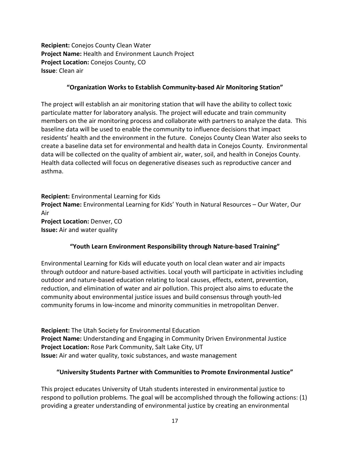**Recipient:** Conejos County Clean Water **Project Name:** Health and Environment Launch Project **Project Location:** Conejos County, CO **Issue**: Clean air

#### **"Organization Works to Establish Community-based Air Monitoring Station"**

The project will establish an air monitoring station that will have the ability to collect toxic particulate matter for laboratory analysis. The project will educate and train community members on the air monitoring process and collaborate with partners to analyze the data. This baseline data will be used to enable the community to influence decisions that impact residents' health and the environment in the future. Conejos County Clean Water also seeks to create a baseline data set for environmental and health data in Conejos County. Environmental data will be collected on the quality of ambient air, water, soil, and health in Conejos County. Health data collected will focus on degenerative diseases such as reproductive cancer and asthma.

**Recipient:** Environmental Learning for Kids **Project Name:** Environmental Learning for Kids' Youth in Natural Resources – Our Water, Our Air **Project Location:** Denver, CO **Issue:** Air and water quality

## **"Youth Learn Environment Responsibility through Nature-based Training"**

Environmental Learning for Kids will educate youth on local clean water and air impacts through outdoor and nature-based activities. Local youth will participate in activities including outdoor and nature-based education relating to local causes, effects, extent, prevention, reduction, and elimination of water and air pollution. This project also aims to educate the community about environmental justice issues and build consensus through youth-led community forums in low-income and minority communities in metropolitan Denver.

**Recipient:** The Utah Society for Environmental Education **Project Name:** Understanding and Engaging in Community Driven Environmental Justice **Project Location:** Rose Park Community, Salt Lake City, UT **Issue:** Air and water quality, toxic substances, and waste management

## **"University Students Partner with Communities to Promote Environmental Justice"**

This project educates University of Utah students interested in environmental justice to respond to pollution problems. The goal will be accomplished through the following actions: (1) providing a greater understanding of environmental justice by creating an environmental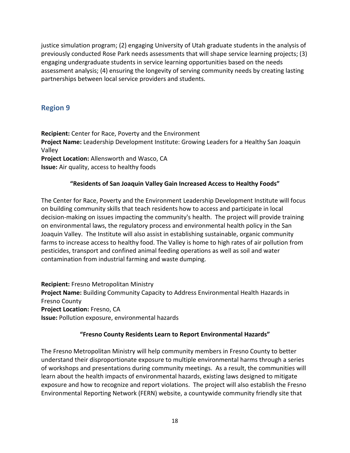justice simulation program; (2) engaging University of Utah graduate students in the analysis of previously conducted Rose Park needs assessments that will shape service learning projects; (3) engaging undergraduate students in service learning opportunities based on the needs assessment analysis; (4) ensuring the longevity of serving community needs by creating lasting partnerships between local service providers and students.

# **Region 9**

**Recipient:** Center for Race, Poverty and the Environment **Project Name:** Leadership Development Institute: Growing Leaders for a Healthy San Joaquin Valley **Project Location:** Allensworth and Wasco, CA **Issue:** Air quality, access to healthy foods

# **"Residents of San Joaquin Valley Gain Increased Access to Healthy Foods"**

The Center for Race, Poverty and the Environment Leadership Development Institute will focus on building community skills that teach residents how to access and participate in local decision-making on issues impacting the community's health. The project will provide training on environmental laws, the regulatory process and environmental health policy in the San Joaquin Valley. The Institute will also assist in establishing sustainable, organic community farms to increase access to healthy food. The Valley is home to high rates of air pollution from pesticides, transport and confined animal feeding operations as well as soil and water contamination from industrial farming and waste dumping.

**Recipient:** Fresno Metropolitan Ministry **Project Name:** Building Community Capacity to Address Environmental Health Hazards in Fresno County **Project Location:** Fresno, CA **Issue:** Pollution exposure, environmental hazards

## **"Fresno County Residents Learn to Report Environmental Hazards"**

The Fresno Metropolitan Ministry will help community members in Fresno County to better understand their disproportionate exposure to multiple environmental harms through a series of workshops and presentations during community meetings. As a result, the communities will learn about the health impacts of environmental hazards, existing laws designed to mitigate exposure and how to recognize and report violations. The project will also establish the Fresno Environmental Reporting Network (FERN) website, a countywide community friendly site that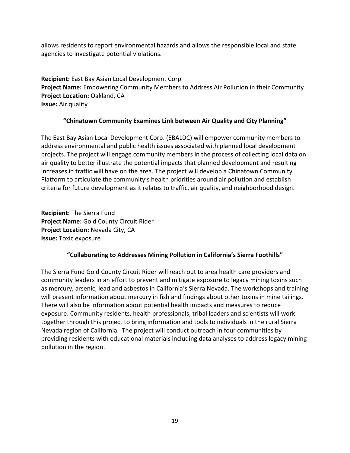allows residents to report environmental hazards and allows the responsible local and state agencies to investigate potential violations.

**Recipient:** East Bay Asian Local Development Corp **Project Name:** Empowering Community Members to Address Air Pollution in their Community **Project Location: Oakland, CA Issue:** Air quality

# **"Chinatown Community Examines Link between Air Quality and City Planning"**

The East Bay Asian Local Development Corp. (EBALDC) will empower community members to address environmental and public health issues associated with planned local development projects. The project will engage community members in the process of collecting local data on air quality to better illustrate the potential impacts that planned development and resulting increases in traffic will have on the area. The project will develop a Chinatown Community Platform to articulate the community's health priorities around air pollution and establish criteria for future development as it relates to traffic, air quality, and neighborhood design.

**Recipient:** The Sierra Fund **Project Name:** Gold County Circuit Rider **Project Location:** Nevada City, CA **Issue:** Toxic exposure

# **"Collaborating to Addresses Mining Pollution in California's Sierra Foothills"**

The Sierra Fund Gold County Circuit Rider will reach out to area health care providers and community leaders in an effort to prevent and mitigate exposure to legacy mining toxins such as mercury, arsenic, lead and asbestos in California's Sierra Nevada. The workshops and training will present information about mercury in fish and findings about other toxins in mine tailings. There will also be information about potential health impacts and measures to reduce exposure. Community residents, health professionals, tribal leaders and scientists will work together through this project to bring information and tools to individuals in the rural Sierra Nevada region of California. The project will conduct outreach in four communities by providing residents with educational materials including data analyses to address legacy mining pollution in the region.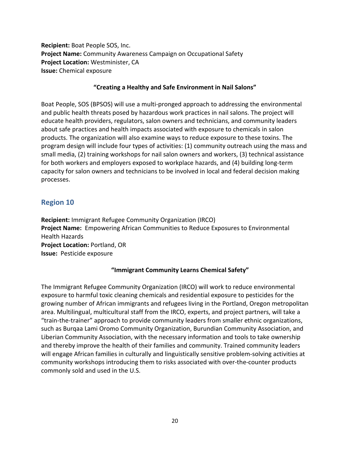**Recipient:** Boat People SOS, Inc. **Project Name:** Community Awareness Campaign on Occupational Safety **Project Location:** Westminister, CA **Issue:** Chemical exposure

#### **"Creating a Healthy and Safe Environment in Nail Salons"**

Boat People, SOS (BPSOS) will use a multi-pronged approach to addressing the environmental and public health threats posed by hazardous work practices in nail salons. The project will educate health providers, regulators, salon owners and technicians, and community leaders about safe practices and health impacts associated with exposure to chemicals in salon products. The organization will also examine ways to reduce exposure to these toxins. The program design will include four types of activities: (1) community outreach using the mass and small media, (2) training workshops for nail salon owners and workers, (3) technical assistance for both workers and employers exposed to workplace hazards, and (4) building long-term capacity for salon owners and technicians to be involved in local and federal decision making processes.

# **Region 10**

**Recipient:** Immigrant Refugee Community Organization (IRCO) **Project Name:** Empowering African Communities to Reduce Exposures to Environmental Health Hazards **Project Location:** Portland, OR **Issue:** Pesticide exposure

## **"Immigrant Community Learns Chemical Safety"**

The Immigrant Refugee Community Organization (IRCO) will work to reduce environmental exposure to harmful toxic cleaning chemicals and residential exposure to pesticides for the growing number of African immigrants and refugees living in the Portland, Oregon metropolitan area. Multilingual, multicultural staff from the IRCO, experts, and project partners, will take a "train-the-trainer" approach to provide community leaders from smaller ethnic organizations, such as Burqaa Lami Oromo Community Organization, Burundian Community Association, and Liberian Community Association, with the necessary information and tools to take ownership and thereby improve the health of their families and community. Trained community leaders will engage African families in culturally and linguistically sensitive problem-solving activities at community workshops introducing them to risks associated with over-the-counter products commonly sold and used in the U.S.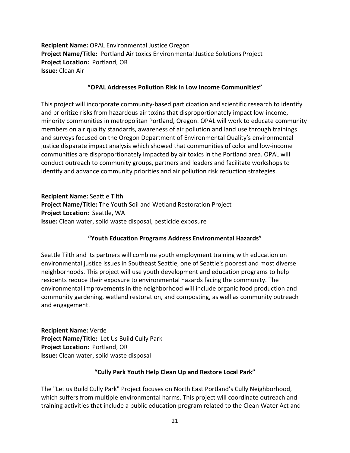**Recipient Name:** OPAL Environmental Justice Oregon **Project Name/Title:** Portland Air toxics Environmental Justice Solutions Project **Project Location:** Portland, OR **Issue:** Clean Air

## **"OPAL Addresses Pollution Risk in Low Income Communities"**

This project will incorporate community-based participation and scientific research to identify and prioritize risks from hazardous air toxins that disproportionately impact low-income, minority communities in metropolitan Portland, Oregon. OPAL will work to educate community members on air quality standards, awareness of air pollution and land use through trainings and surveys focused on the Oregon Department of Environmental Quality's environmental justice disparate impact analysis which showed that communities of color and low-income communities are disproportionately impacted by air toxics in the Portland area. OPAL will conduct outreach to community groups, partners and leaders and facilitate workshops to identify and advance community priorities and air pollution risk reduction strategies.

**Recipient Name:** Seattle Tilth **Project Name/Title:** The Youth Soil and Wetland Restoration Project **Project Location:** Seattle, WA **Issue:** Clean water, solid waste disposal, pesticide exposure

# **"Youth Education Programs Address Environmental Hazards"**

Seattle Tilth and its partners will combine youth employment training with education on environmental justice issues in Southeast Seattle, one of Seattle's poorest and most diverse neighborhoods. This project will use youth development and education programs to help residents reduce their exposure to environmental hazards facing the community. The environmental improvements in the neighborhood will include organic food production and community gardening, wetland restoration, and composting, as well as community outreach and engagement.

**Recipient Name:** Verde **Project Name/Title:** Let Us Build Cully Park **Project Location:** Portland, OR **Issue:** Clean water, solid waste disposal

# **"Cully Park Youth Help Clean Up and Restore Local Park"**

The "Let us Build Cully Park" Project focuses on North East Portland's Cully Neighborhood, which suffers from multiple environmental harms. This project will coordinate outreach and training activities that include a public education program related to the Clean Water Act and